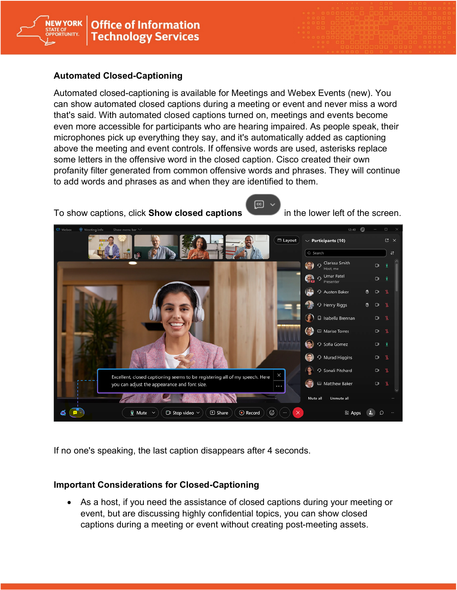

## **Automated Closed-Captioning**

**NEW YORK** 

**ORTUNITY** 

Automated closed-captioning is available for Meetings and Webex Events (new). You can show automated closed captions during a meeting or event and never miss a word that's said. With automated closed captions turned on, meetings and events become even more accessible for participants who are hearing impaired. As people speak, their microphones pick up everything they say, and it's automatically added as captioning above the meeting and event controls. If offensive words are used, asterisks replace some letters in the offensive word in the closed caption. Cisco created their own profanity filter generated from common offensive words and phrases. They will continue to add words and phrases as and when they are identified to them.

To show captions, click **Show closed captions** in the lower left of the screen.





If no one's speaking, the last caption disappears after 4 seconds.

## **Important Considerations for Closed-Captioning**

• As a host, if you need the assistance of closed captions during your meeting or event, but are discussing highly confidential topics, you can show closed captions during a meeting or event without creating post-meeting assets.